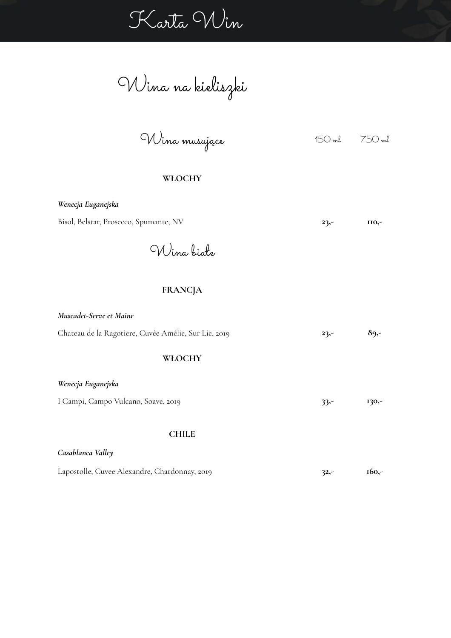Karta Win

Wina na kieliszki

Wina musujące 150 ml 750 ml

### **WŁOCHY**

| Wenecja Euganejska                                   |        |          |
|------------------------------------------------------|--------|----------|
| Bisol, Belstar, Prosecco, Spumante, NV               | $23,-$ | $IIO, -$ |
| Wina biate                                           |        |          |
| <b>FRANCJA</b>                                       |        |          |
| Muscadet-Serve et Maine                              |        |          |
| Chateau de la Ragotiere, Cuvée Amélie, Sur Lie, 2019 | $23,-$ | $89,-$   |
| WŁOCHY                                               |        |          |
| Wenecja Euganejska                                   |        |          |
| I Campi, Campo Vulcano, Soave, 2019                  | $33 -$ | 130,-    |
| <b>CHILE</b><br>Casablanca Valley                    |        |          |
|                                                      |        |          |

Lapostolle, Cuvee Alexandre, Chardonnay, 2019 **32,- 160,-**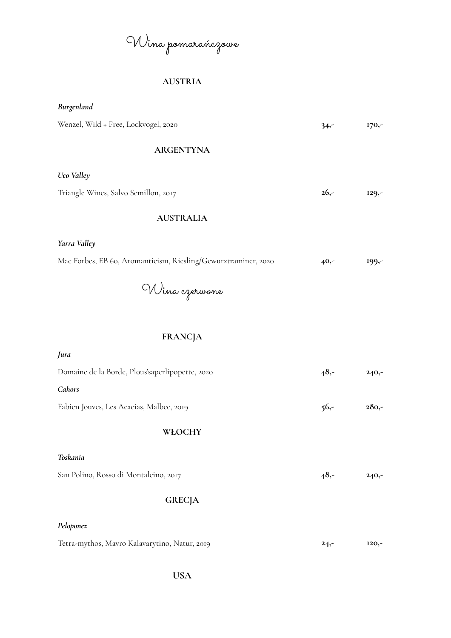Wina pomarańczowe

## **AUSTRIA**

| Burgenland                                                     |         |          |
|----------------------------------------------------------------|---------|----------|
| Wenzel, Wild + Free, Lockvogel, 2020                           | $34 -$  | 170,-    |
| <b>ARGENTYNA</b>                                               |         |          |
| Uco Valley                                                     |         |          |
| Triangle Wines, Salvo Semillon, 2017                           | $26,-$  | $129, -$ |
| <b>AUSTRALIA</b>                                               |         |          |
| Yarra Valley                                                   |         |          |
| Mac Forbes, EB 60, Aromanticism, Riesling/Gewurztraminer, 2020 | $40,-$  | $199, -$ |
| Wina ezerwone                                                  |         |          |
| <b>FRANCJA</b>                                                 |         |          |
| Jura                                                           |         |          |
| Domaine de la Borde, Plous'saperlipopette, 2020                | $48,-$  | $240,-$  |
| Cahors                                                         |         |          |
| Fabien Jouves, Les Acacias, Malbec, 2019                       | $56,-$  | $280,-$  |
| WŁOCHY                                                         |         |          |
| Toskania                                                       |         |          |
| San Polino, Rosso di Montalcino, 2017                          | $48,-$  | $240,-$  |
| <b>GRECJA</b>                                                  |         |          |
| Peloponez                                                      |         |          |
| Tetra-mythos, Mavro Kalavarytino, Natur, 2019                  | $24, -$ | $I2O, -$ |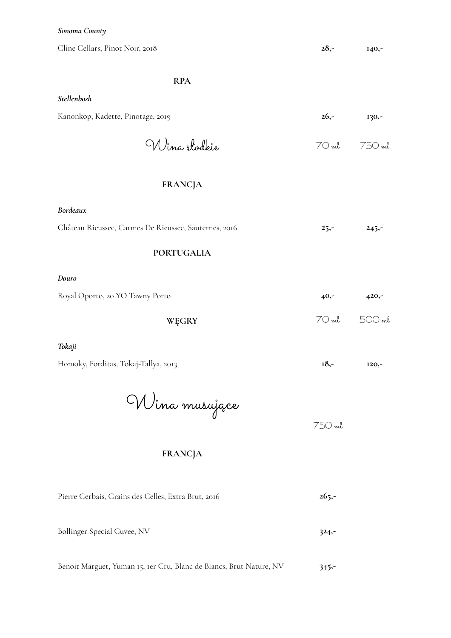#### *Sonoma County*

Cline Cellars, Pinot Noir, 2018 **28,- 140,-**

**RPA**

#### *Stellenbosh*

| Kanonkop, Kadette, Pinotage, 2019 | $26 -$ | <b>130,-</b> |
|-----------------------------------|--------|--------------|
| Wina stodkie                      |        | 70 ml 750 ml |

### **FRANCJA**

| Bordeaux                                              |         |         |
|-------------------------------------------------------|---------|---------|
| Château Rieussec, Carmes De Rieussec, Sauternes, 2016 | $25 -$  | $245 -$ |
| <b>PORTUGALIA</b>                                     |         |         |
| Douro                                                 |         |         |
| Royal Oporto, 20 YO Tawny Porto                       | $40,-$  | $420,-$ |
| WĘGRY                                                 | $70$ ml | 500 ml  |

#### *Tokaji*

Homoky, Forditas, Tokaj-Tallya, 2013 **18,- 120,-**

Wina musujące

750 ml

### **FRANCJA**

| Pierre Gerbais, Grains des Celles, Extra Brut, 2016 | $265 -$ |
|-----------------------------------------------------|---------|
|                                                     |         |
| Bollinger Special Cuvee, NV                         | $324 -$ |

Benoit Marguet, Yuman 15, 1er Cru, Blanc de Blancs, Brut Nature, NV **345,-**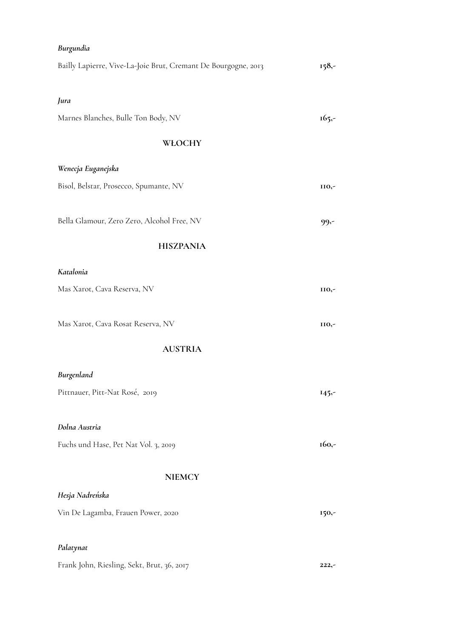| Burgundia                                                      |          |
|----------------------------------------------------------------|----------|
| Bailly Lapierre, Vive-La-Joie Brut, Cremant De Bourgogne, 2013 | $158, -$ |
| Jura                                                           |          |
| Marnes Blanches, Bulle Ton Body, NV                            | $165, -$ |
| WŁOCHY                                                         |          |
| Wenecja Euganejska                                             |          |
| Bisol, Belstar, Prosecco, Spumante, NV                         | 110,-    |
| Bella Glamour, Zero Zero, Alcohol Free, NV                     | $99 -$   |
| <b>HISZPANIA</b>                                               |          |
| Katalonia                                                      |          |
| Mas Xarot, Cava Reserva, NV                                    | 110,-    |
| Mas Xarot, Cava Rosat Reserva, NV                              | II0,-    |
| <b>AUSTRIA</b>                                                 |          |
| Burgenland                                                     |          |
| Pittnauer, Pitt-Nat Rosé, 2019                                 | $145 -$  |
| Dolna Austria                                                  |          |
| Fuchs und Hase, Pet Nat Vol. 3, 2019                           | $160,-$  |
| <b>NIEMCY</b>                                                  |          |
| Hesja Nadreńska                                                |          |
| Vin De Lagamba, Frauen Power, 2020                             | 150,-    |
| Palatynat                                                      |          |
| Frank John, Riesling, Sekt, Brut, 36, 2017                     | $222,-$  |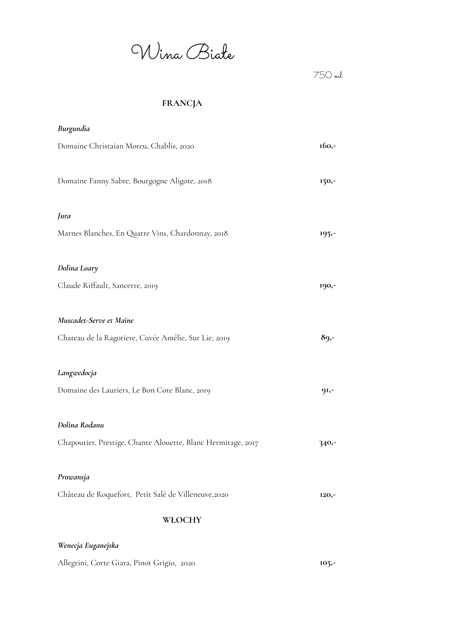Wina Białe

750 ml

# **FRANCJA**

| Burgundia                                                    |         |
|--------------------------------------------------------------|---------|
| Domaine Christaian Moreu, Chablis, 2020                      | 160,-   |
| Domaine Fanny Sabre, Bourgogne Aligote, 2018                 | 150,-   |
| Jura                                                         |         |
| Marnes Blanches, En Quatre Vins, Chardonnay, 2018            | $195 -$ |
| Dolina Loary                                                 |         |
| Claude Riffault, Sancerre, 2019                              | 190,-   |
| Muscadet-Serve et Maine                                      |         |
| Chateau de la Ragotiere, Cuvée Amélie, Sur Lie, 2019         | $89, -$ |
| Langwedocja                                                  |         |
| Domaine des Lauriers, Le Bon Cote Blanc, 2019                | $9I,-$  |
| Dolina Rodanu                                                |         |
| Chapoutier, Prestige, Chante Alouette, Blanc Hermitage, 2017 | $340 -$ |
| Prowansja                                                    |         |
| Château de Roquefort, Petit Salé de Villeneuve, 2020         | $I20,-$ |
| WŁOCHY                                                       |         |
| Wenecja Euganejska                                           |         |

Allegrini, Corte Giara, Pinot Grigio, 2020 **105,-**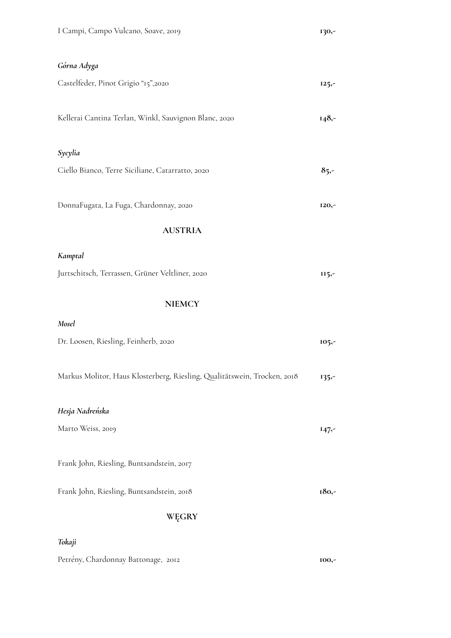| I Campi, Campo Vulcano, Soave, 2019                                      | 130,-    |
|--------------------------------------------------------------------------|----------|
| Górna Adyga                                                              |          |
| Castelfeder, Pinot Grigio "15",2020                                      | $125, -$ |
| Kellerai Cantina Terlan, Winkl, Sauvignon Blanc, 2020                    | $148, -$ |
| Sycylia                                                                  |          |
| Ciello Bianco, Terre Siciliane, Catarratto, 2020                         | $85 -$   |
| DonnaFugata, La Fuga, Chardonnay, 2020                                   | 120,-    |
| <b>AUSTRIA</b>                                                           |          |
| Kamptal                                                                  |          |
| Jurtschitsch, Terrassen, Grüner Veltliner, 2020                          | $II5, -$ |
| <b>NIEMCY</b>                                                            |          |
| Mosel                                                                    |          |
| Dr. Loosen, Riesling, Feinherb, 2020                                     | 105,7    |
| Markus Molitor, Haus Klosterberg, Riesling, Qualitätswein, Trocken, 2018 | $135 -$  |
| Hesja Nadreńska                                                          |          |
| Marto Weiss, 2019                                                        | $147 -$  |
| Frank John, Riesling, Buntsandstein, 2017                                |          |
| Frank John, Riesling, Buntsandstein, 2018                                | 180,-    |
| WĘGRY                                                                    |          |
| Tokaji                                                                   |          |
| Petrény, Chardonnay Battonage, 2012                                      | 100,-    |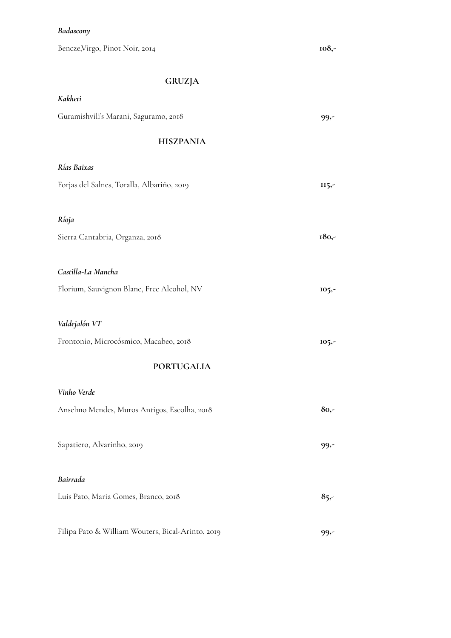### *Badascony*

*Kakheti*

Bencze,Virgo, Pinot Noir, 2014 **108,-**

# **GRUZJA**

| Guramishvili's Marani, Saguramo, 2018             | $99 -$   |
|---------------------------------------------------|----------|
| <b>HISZPANIA</b>                                  |          |
| Rías Baixas                                       |          |
| Forjas del Salnes, Toralla, Albariño, 2019        | $II5,-$  |
| Ríoja                                             |          |
| Sierra Cantabria, Organza, 2018                   | 180,-    |
| Castilla-La Mancha                                |          |
| Florium, Sauvignon Blanc, Free Alcohol, NV        | $105, -$ |
| Valdejalón VT                                     |          |
| Frontonio, Microcósmico, Macabeo, 2018            | $105, -$ |
| <b>PORTUGALIA</b>                                 |          |
| Vinho Verde                                       |          |
| Anselmo Mendes, Muros Antigos, Escolha, 2018      | $80,-$   |
| Sapatiero, Alvarinho, 2019                        | 99,-     |
| Bairrada                                          |          |
| Luis Pato, Maria Gomes, Branco, 2018              | $85 -$   |
| Filipa Pato & William Wouters, Bical-Arinto, 2019 | $99 -$   |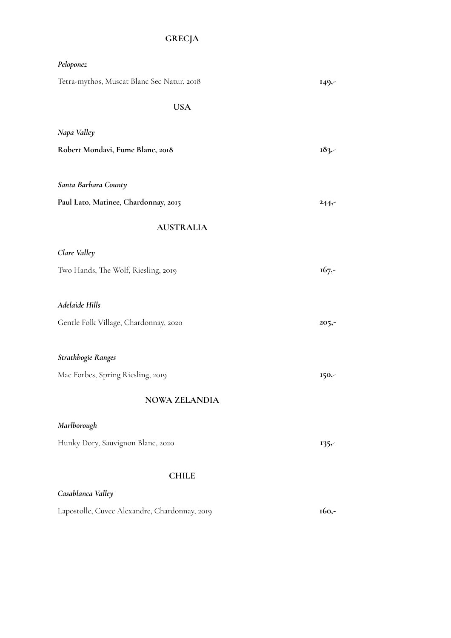# **GRECJA**

| Peloponez                                     |          |
|-----------------------------------------------|----------|
| Tetra-mythos, Muscat Blanc Sec Natur, 2018    | $149, -$ |
| <b>USA</b>                                    |          |
| Napa Valley                                   |          |
| Robert Mondavi, Fume Blanc, 2018              | $183, -$ |
|                                               |          |
| Santa Barbara County                          |          |
| Paul Lato, Matinee, Chardonnay, 2015          | $244, -$ |
| <b>AUSTRALIA</b>                              |          |
| Clare Valley                                  |          |
| Two Hands, The Wolf, Riesling, 2019           | $167 -$  |
|                                               |          |
| Adelaide Hills                                |          |
| Gentle Folk Village, Chardonnay, 2020         | $205 -$  |
| Strathbogie Ranges                            |          |
| Mac Forbes, Spring Riesling, 2019             |          |
|                                               | 150,-    |
| <b>NOWA ZELANDIA</b>                          |          |
| Marlborough                                   |          |
| Hunky Dory, Sauvignon Blanc, 2020             | $135 -$  |
| <b>CHILE</b>                                  |          |
| Casablanca Valley                             |          |
| Lapostolle, Cuvee Alexandre, Chardonnay, 2019 | $160, -$ |
|                                               |          |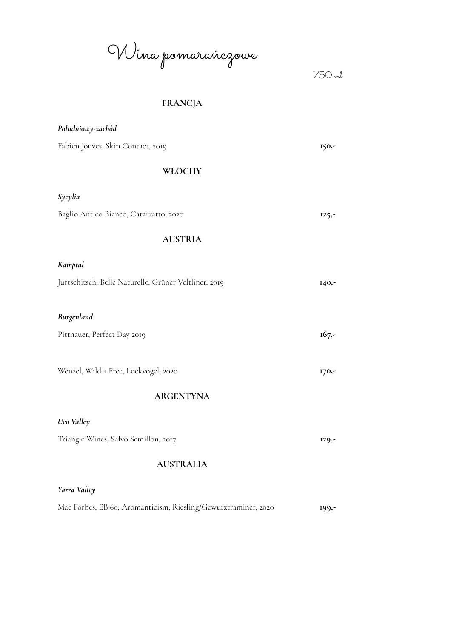Wina pomarańczowe

750 ml

# **FRANCJA**

| Południowy-zachód                                              |          |
|----------------------------------------------------------------|----------|
| Fabien Jouves, Skin Contact, 2019                              | 150,-    |
| WŁOCHY                                                         |          |
| Sycylia                                                        |          |
| Baglio Antico Bianco, Catarratto, 2020                         | $125, -$ |
| <b>AUSTRIA</b>                                                 |          |
| Kamptal                                                        |          |
| Jurtschitsch, Belle Naturelle, Grüner Veltliner, 2019          | 140,-    |
| Burgenland                                                     |          |
| Pittnauer, Perfect Day 2019                                    | $167 -$  |
| Wenzel, Wild + Free, Lockvogel, 2020                           | 170,-    |
| <b>ARGENTYNA</b>                                               |          |
| Uco Valley                                                     |          |
| Triangle Wines, Salvo Semillon, 2017                           | $129, -$ |
| <b>AUSTRALIA</b>                                               |          |
| Yarra Valley                                                   |          |
| Mac Forbes, EB 60, Aromanticism, Riesling/Gewurztraminer, 2020 | $199, -$ |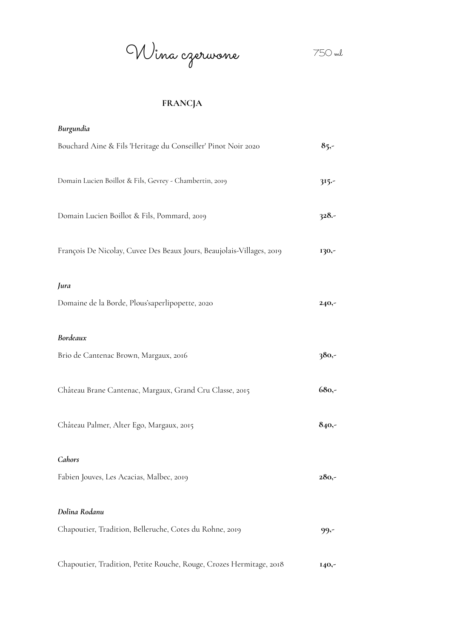Wina czerwone 750 ml

## **FRANCJA**

| Burgundia                                                             |          |
|-----------------------------------------------------------------------|----------|
| Bouchard Aine & Fils 'Heritage du Conseiller' Pinot Noir 2020         | $85 -$   |
| Domain Lucien Boillot & Fils, Gevrey - Chambertin, 2019               | $315 -$  |
| Domain Lucien Boillot & Fils, Pommard, 2019                           | $328 -$  |
| François De Nicolay, Cuvee Des Beaux Jours, Beaujolais-Villages, 2019 | 130,-    |
| Jura                                                                  |          |
| Domaine de la Borde, Plous'saperlipopette, 2020                       | $240,-$  |
| Bordeaux                                                              |          |
| Brio de Cantenac Brown, Margaux, 2016                                 | 380,-    |
| Château Brane Cantenac, Margaux, Grand Cru Classe, 2015               | $680 -$  |
| Château Palmer, Alter Ego, Margaux, 2015                              | $840 -$  |
| Cahors                                                                |          |
| Fabien Jouves, Les Acacias, Malbec, 2019                              | $280,-$  |
| Dolina Rodanu                                                         |          |
| Chapoutier, Tradition, Belleruche, Cotes du Rohne, 2019               | 99,-     |
| Chapoutier, Tradition, Petite Rouche, Rouge, Crozes Hermitage, 2018   | $I40, -$ |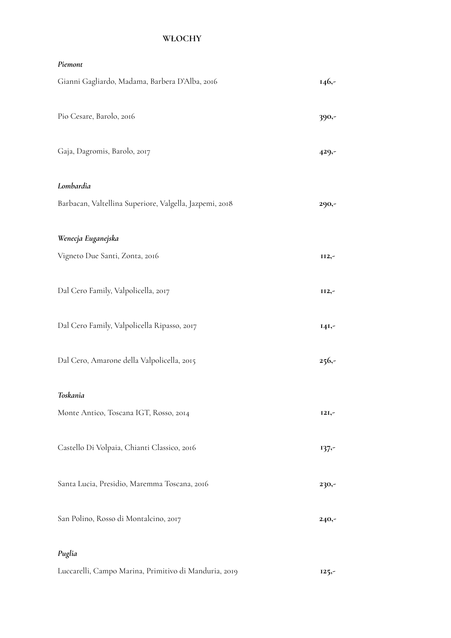## **WŁOCHY**

| Piemont                                                 |          |
|---------------------------------------------------------|----------|
| Gianni Gagliardo, Madama, Barbera D'Alba, 2016          | $146, -$ |
| Pio Cesare, Barolo, 2016                                | 390,-    |
| Gaja, Dagromis, Barolo, 2017                            | $429, -$ |
| Lombardia                                               |          |
| Barbacan, Valtellina Superiore, Valgella, Jazpemi, 2018 | 290,-    |
| Wenecja Euganejska                                      |          |
| Vigneto Due Santi, Zonta, 2016                          | II2,-    |
| Dal Cero Family, Valpolicella, 2017                     | II2,-    |
| Dal Cero Family, Valpolicella Ripasso, 2017             | $I4I,-$  |
| Dal Cero, Amarone della Valpolicella, 2015              | $256, -$ |
| Toskania                                                |          |
| Monte Antico, Toscana IGT, Rosso, 2014                  | $I2I,-$  |
| Castello Di Volpaia, Chianti Classico, 2016             | $137 -$  |
| Santa Lucia, Presidio, Maremma Toscana, 2016            | 230,-    |
| San Polino, Rosso di Montalcino, 2017                   | $240,-$  |
| Puglia                                                  |          |

Luccarelli, Campo Marina, Primitivo di Manduria, 2019 **125,-**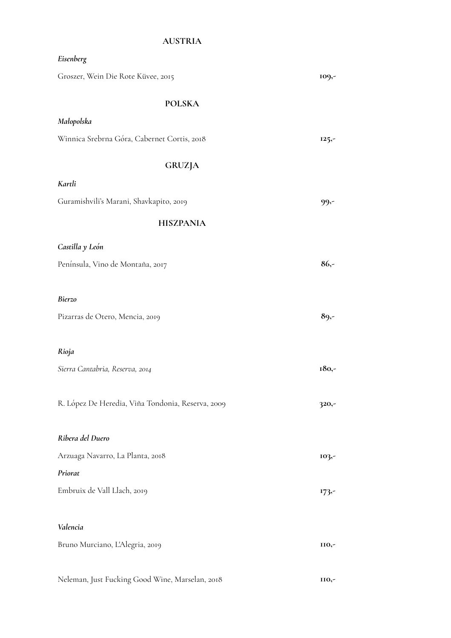### **AUSTRIA**

| Eisenberg                                         |          |
|---------------------------------------------------|----------|
| Groszer, Wein Die Rote Küvee, 2015                | 109,-    |
| <b>POLSKA</b>                                     |          |
| Małopolska                                        |          |
| Winnica Srebrna Góra, Cabernet Cortis, 2018       | $125, -$ |
| <b>GRUZJA</b>                                     |          |
| Kartli                                            |          |
| Guramishvili's Marani, Shavkapito, 2019           | $99 -$   |
| <b>HISZPANIA</b>                                  |          |
| Castilla y León                                   |          |
| Península, Vino de Montaña, 2017                  | $86 -$   |
|                                                   |          |
| <b>Bierzo</b>                                     |          |
| Pizarras de Otero, Mencia, 2019                   | $89,-$   |
|                                                   |          |
| Rioja                                             |          |
| Sierra Cantabria, Reserva, 2014                   | 180,-    |
|                                                   |          |
| R. López De Heredia, Viña Tondonia, Reserva, 2009 | $320,-$  |
|                                                   |          |
| Ribera del Duero                                  |          |
| Arzuaga Navarro, La Planta, 2018                  | 103,-    |
| Priorat                                           |          |
| Embruix de Vall Llach, 2019                       | $173 -$  |
| Valencia                                          |          |
|                                                   |          |
| Bruno Murciano, L'Alegria, 2019                   | 110,-    |
| Neleman, Just Fucking Good Wine, Marselan, 2018   | 110,-    |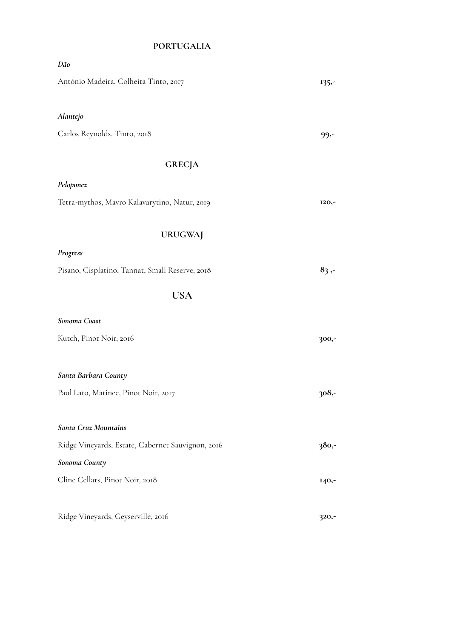## **PORTUGALIA**

| Dão                                               |          |
|---------------------------------------------------|----------|
| António Madeira, Colheita Tinto, 2017             | $135 -$  |
| Alantejo                                          |          |
| Carlos Reynolds, Tinto, 2018                      | $99 -$   |
| <b>GRECJA</b>                                     |          |
| Peloponez                                         |          |
| Tetra-mythos, Mavro Kalavarytino, Natur, 2019     | $I20, -$ |
| <b>URUGWAJ</b>                                    |          |
| Progress                                          |          |
| Pisano, Cisplatino, Tannat, Small Reserve, 2018   | $83 -$   |
| <b>USA</b>                                        |          |
| Sonoma Coast                                      |          |
| Kutch, Pinot Noir, 2016                           | $300 -$  |
| Santa Barbara County                              |          |
| Paul Lato, Matinee, Pinot Noir, 2017              | $308 -$  |
| Santa Cruz Mountains                              |          |
| Ridge Vineyards, Estate, Cabernet Sauvignon, 2016 | $380 -$  |
| Sonoma County                                     |          |
| Cline Cellars, Pinot Noir, 2018                   | $I40,-$  |
| Ridge Vineyards, Geyserville, 2016                | $320,-$  |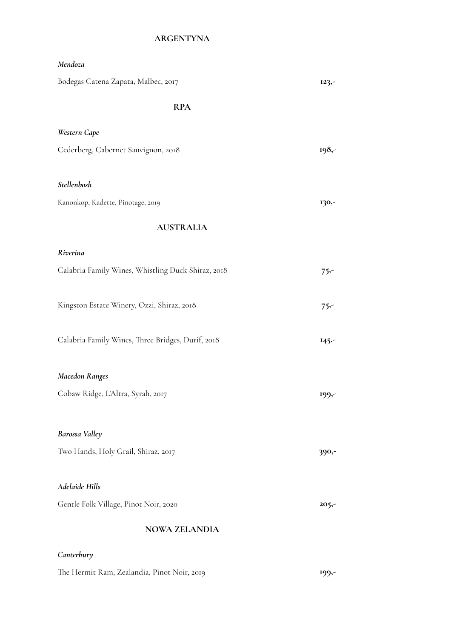# **ARGENTYNA**

| Mendoza                                            |          |
|----------------------------------------------------|----------|
| Bodegas Catena Zapata, Malbec, 2017                | $123,-$  |
| <b>RPA</b>                                         |          |
| Western Cape                                       |          |
| Cederberg, Cabernet Sauvignon, 2018                | 198,-    |
| Stellenbosh                                        |          |
| Kanonkop, Kadette, Pinotage, 2019                  | 130,-    |
| <b>AUSTRALIA</b>                                   |          |
| Riverina                                           |          |
| Calabria Family Wines, Whistling Duck Shiraz, 2018 | $75 -$   |
| Kingston Estate Winery, Ozzi, Shiraz, 2018         | $75 -$   |
| Calabria Family Wines, Three Bridges, Durif, 2018  | $145 -$  |
| <b>Macedon Ranges</b>                              |          |
| Cobaw Ridge, L'Altra, Syrah, 2017                  | $199,-$  |
| Barossa Valley                                     |          |
| Two Hands, Holy Grail, Shiraz, 2017                | 390,-    |
| Adelaide Hills                                     |          |
| Gentle Folk Village, Pinot Noir, 2020              | $205, -$ |
| <b>NOWA ZELANDIA</b>                               |          |
| Canterbury                                         |          |

| The Hermit Ram, Zealandia, Pinot Noir, 2019 | 199,- |
|---------------------------------------------|-------|
|---------------------------------------------|-------|